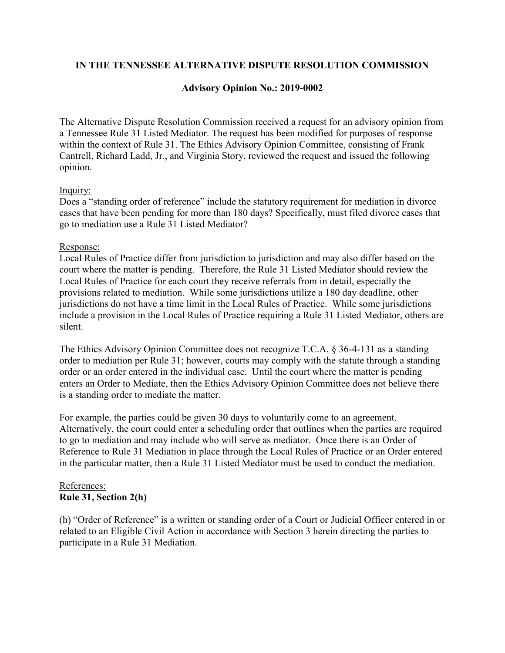## **IN THE TENNESSEE ALTERNATIVE DISPUTE RESOLUTION COMMISSION**

# **Advisory Opinion No.: 2019-0002**

The Alternative Dispute Resolution Commission received a request for an advisory opinion from a Tennessee Rule 31 Listed Mediator. The request has been modified for purposes of response within the context of Rule 31. The Ethics Advisory Opinion Committee, consisting of Frank Cantrell, Richard Ladd, Jr., and Virginia Story, reviewed the request and issued the following opinion.

### Inquiry:

Does a "standing order of reference" include the statutory requirement for mediation in divorce cases that have been pending for more than 180 days? Specifically, must filed divorce cases that go to mediation use a Rule 31 Listed Mediator?

### Response:

Local Rules of Practice differ from jurisdiction to jurisdiction and may also differ based on the court where the matter is pending. Therefore, the Rule 31 Listed Mediator should review the Local Rules of Practice for each court they receive referrals from in detail, especially the provisions related to mediation. While some jurisdictions utilize a 180 day deadline, other jurisdictions do not have a time limit in the Local Rules of Practice. While some jurisdictions include a provision in the Local Rules of Practice requiring a Rule 31 Listed Mediator, others are silent.

The Ethics Advisory Opinion Committee does not recognize T.C.A. § 36-4-131 as a standing order to mediation per Rule 31; however, courts may comply with the statute through a standing order or an order entered in the individual case. Until the court where the matter is pending enters an Order to Mediate, then the Ethics Advisory Opinion Committee does not believe there is a standing order to mediate the matter.

For example, the parties could be given 30 days to voluntarily come to an agreement. Alternatively, the court could enter a scheduling order that outlines when the parties are required to go to mediation and may include who will serve as mediator. Once there is an Order of Reference to Rule 31 Mediation in place through the Local Rules of Practice or an Order entered in the particular matter, then a Rule 31 Listed Mediator must be used to conduct the mediation.

### References: **Rule 31, Section 2(h)**

(h) "Order of Reference" is a written or standing order of a Court or Judicial Officer entered in or related to an Eligible Civil Action in accordance with Section 3 herein directing the parties to participate in a Rule 31 Mediation.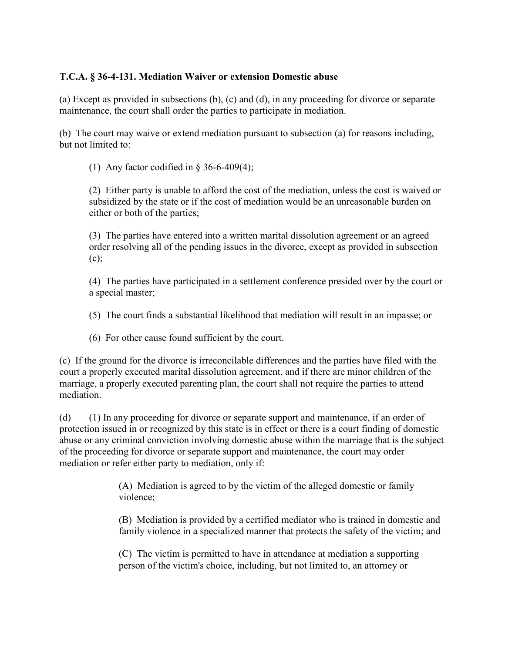# **T.C.A. § 36-4-131. Mediation Waiver or extension Domestic abuse**

(a) Except as provided in subsections (b), (c) and (d), in any proceeding for divorce or separate maintenance, the court shall order the parties to participate in mediation.

(b) The court may waive or extend mediation pursuant to subsection (a) for reasons including, but not limited to:

(1) Any factor codified in  $\S 36-6-409(4)$ ;

(2) Either party is unable to afford the cost of the mediation, unless the cost is waived or subsidized by the state or if the cost of mediation would be an unreasonable burden on either or both of the parties;

(3) The parties have entered into a written marital dissolution agreement or an agreed order resolving all of the pending issues in the divorce, except as provided in subsection (c);

(4) The parties have participated in a settlement conference presided over by the court or a special master;

(5) The court finds a substantial likelihood that mediation will result in an impasse; or

(6) For other cause found sufficient by the court.

(c) If the ground for the divorce is irreconcilable differences and the parties have filed with the court a properly executed marital dissolution agreement, and if there are minor children of the marriage, a properly executed parenting plan, the court shall not require the parties to attend mediation.

(d) (1) In any proceeding for divorce or separate support and maintenance, if an order of protection issued in or recognized by this state is in effect or there is a court finding of domestic abuse or any criminal conviction involving domestic abuse within the marriage that is the subject of the proceeding for divorce or separate support and maintenance, the court may order mediation or refer either party to mediation, only if:

> (A) Mediation is agreed to by the victim of the alleged domestic or family violence;

(B) Mediation is provided by a certified mediator who is trained in domestic and family violence in a specialized manner that protects the safety of the victim; and

(C) The victim is permitted to have in attendance at mediation a supporting person of the victim's choice, including, but not limited to, an attorney or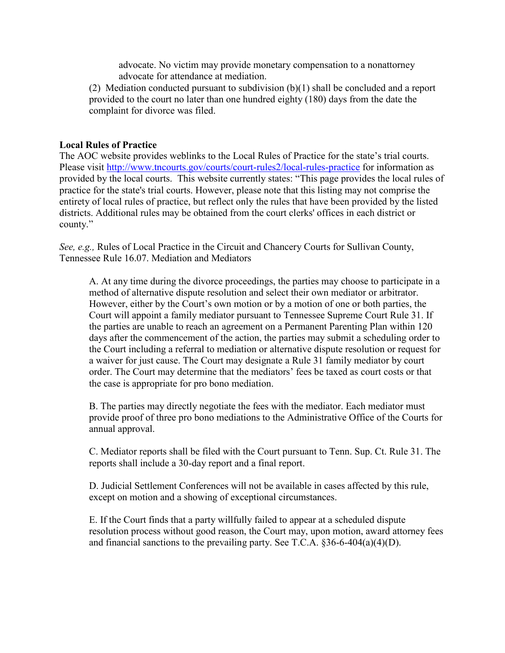advocate. No victim may provide monetary compensation to a nonattorney advocate for attendance at mediation.

(2) Mediation conducted pursuant to subdivision (b)(1) shall be concluded and a report provided to the court no later than one hundred eighty (180) days from the date the complaint for divorce was filed.

#### **Local Rules of Practice**

The AOC website provides weblinks to the Local Rules of Practice for the state's trial courts. Please visit<http://www.tncourts.gov/courts/court-rules2/local-rules-practice> for information as provided by the local courts. This website currently states: "This page provides the local rules of practice for the state's trial courts. However, please note that this listing may not comprise the entirety of local rules of practice, but reflect only the rules that have been provided by the listed districts. Additional rules may be obtained from the court clerks' offices in each district or county."

*See, e.g.,* Rules of Local Practice in the Circuit and Chancery Courts for Sullivan County, Tennessee Rule 16.07. Mediation and Mediators

A. At any time during the divorce proceedings, the parties may choose to participate in a method of alternative dispute resolution and select their own mediator or arbitrator. However, either by the Court's own motion or by a motion of one or both parties, the Court will appoint a family mediator pursuant to Tennessee Supreme Court Rule 31. If the parties are unable to reach an agreement on a Permanent Parenting Plan within 120 days after the commencement of the action, the parties may submit a scheduling order to the Court including a referral to mediation or alternative dispute resolution or request for a waiver for just cause. The Court may designate a Rule 31 family mediator by court order. The Court may determine that the mediators' fees be taxed as court costs or that the case is appropriate for pro bono mediation.

B. The parties may directly negotiate the fees with the mediator. Each mediator must provide proof of three pro bono mediations to the Administrative Office of the Courts for annual approval.

C. Mediator reports shall be filed with the Court pursuant to Tenn. Sup. Ct. Rule 31. The reports shall include a 30-day report and a final report.

D. Judicial Settlement Conferences will not be available in cases affected by this rule, except on motion and a showing of exceptional circumstances.

E. If the Court finds that a party willfully failed to appear at a scheduled dispute resolution process without good reason, the Court may, upon motion, award attorney fees and financial sanctions to the prevailing party. See T.C.A. §36-6-404(a)(4)(D).